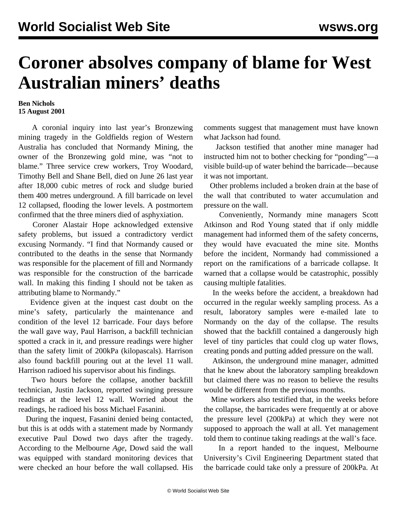## **Coroner absolves company of blame for West Australian miners' deaths**

## **Ben Nichols 15 August 2001**

 A coronial inquiry into last year's Bronzewing mining tragedy in the Goldfields region of Western Australia has concluded that Normandy Mining, the owner of the Bronzewing gold mine, was "not to blame." Three service crew workers, Troy Woodard, Timothy Bell and Shane Bell, died on June 26 last year after 18,000 cubic metres of rock and sludge buried them 400 metres underground. A fill barricade on level 12 collapsed, flooding the lower levels. A postmortem confirmed that the three miners died of asphyxiation.

 Coroner Alastair Hope acknowledged extensive safety problems, but issued a contradictory verdict excusing Normandy. "I find that Normandy caused or contributed to the deaths in the sense that Normandy was responsible for the placement of fill and Normandy was responsible for the construction of the barricade wall. In making this finding I should not be taken as attributing blame to Normandy."

 Evidence given at the inquest cast doubt on the mine's safety, particularly the maintenance and condition of the level 12 barricade. Four days before the wall gave way, Paul Harrison, a backfill technician spotted a crack in it, and pressure readings were higher than the safety limit of 200kPa (kilopascals). Harrison also found backfill pouring out at the level 11 wall. Harrison radioed his supervisor about his findings.

 Two hours before the collapse, another backfill technician, Justin Jackson, reported swinging pressure readings at the level 12 wall. Worried about the readings, he radioed his boss Michael Fasanini.

 During the inquest, Fasanini denied being contacted, but this is at odds with a statement made by Normandy executive Paul Dowd two days after the tragedy. According to the Melbourne *Age*, Dowd said the wall was equipped with standard monitoring devices that were checked an hour before the wall collapsed. His

comments suggest that management must have known what Jackson had found.

 Jackson testified that another mine manager had instructed him not to bother checking for "ponding"—a visible build-up of water behind the barricade—because it was not important.

 Other problems included a broken drain at the base of the wall that contributed to water accumulation and pressure on the wall.

 Conveniently, Normandy mine managers Scott Atkinson and Rod Young stated that if only middle management had informed them of the safety concerns, they would have evacuated the mine site. Months before the incident, Normandy had commissioned a report on the ramifications of a barricade collapse. It warned that a collapse would be catastrophic, possibly causing multiple fatalities.

 In the weeks before the accident, a breakdown had occurred in the regular weekly sampling process. As a result, laboratory samples were e-mailed late to Normandy on the day of the collapse. The results showed that the backfill contained a dangerously high level of tiny particles that could clog up water flows, creating ponds and putting added pressure on the wall.

 Atkinson, the underground mine manager, admitted that he knew about the laboratory sampling breakdown but claimed there was no reason to believe the results would be different from the previous months.

 Mine workers also testified that, in the weeks before the collapse, the barricades were frequently at or above the pressure level (200kPa) at which they were not supposed to approach the wall at all. Yet management told them to continue taking readings at the wall's face.

 In a report handed to the inquest, Melbourne University's Civil Engineering Department stated that the barricade could take only a pressure of 200kPa. At